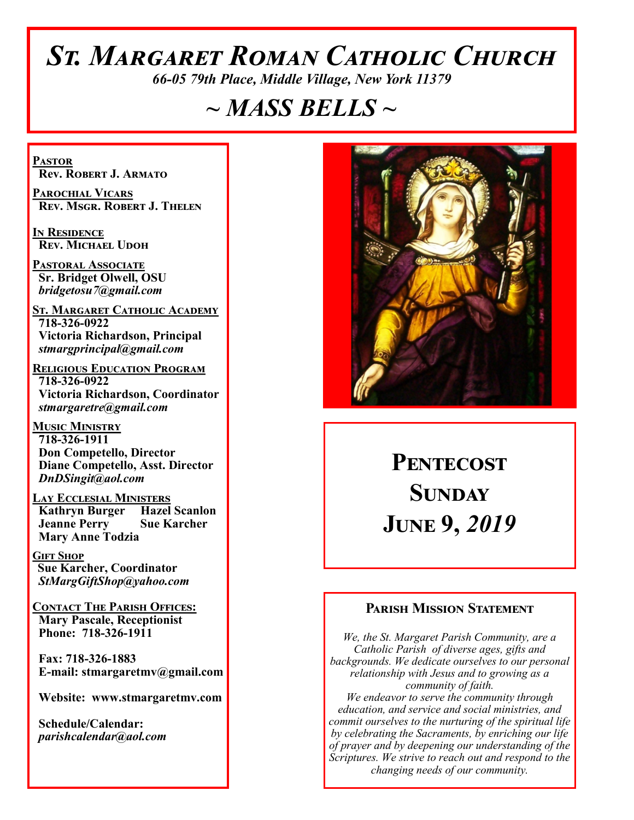# *St. Margaret Roman Catholic Church*

*66-05 79th Place, Middle Village, New York 11379*

# *~ MASS BELLS ~*

**Pastor Rev. Robert J. Armato**

**Parochial Vicars Rev. Msgr. Robert J. Thelen**

**In Residence Rev. Michael Udoh**

**Pastoral Associate Sr. Bridget Olwell, OSU**  *bridgetosu7@gmail.com*

**St. Margaret Catholic Academy 718-326-0922 Victoria Richardson, Principal**  *stmargprincipal@gmail.com*

**Religious Education Program 718-326-0922 Victoria Richardson, Coordinator** *stmargaretre@gmail.com*

**Music Ministry 718-326-1911 Don Competello, Director Diane Competello, Asst. Director** *DnDSingit@aol.com*

**Lay Ecclesial Ministers Kathryn Burger Hazel Scanlo**<br>**Jeanne Perry Sue Karcher Jeanne Perry Mary Anne Todzia**

**Gift Shop Sue Karcher, Coordinator** *StMargGiftShop@yahoo.com*

**Contact The Parish Offices: Mary Pascale, Receptionist Phone: 718-326-1911** 

 **Fax: 718-326-1883 E-mail: stmargaretmv@gmail.com**

 **Website: www.stmargaretmv.com**

 **Schedule/Calendar:** *parishcalendar@aol.com* 



# PENTECOST **Sunday June 9,** *2019*

#### **Parish Mission Statement**

*We, the St. Margaret Parish Community, are a Catholic Parish of diverse ages, gifts and backgrounds. We dedicate ourselves to our personal relationship with Jesus and to growing as a community of faith. We endeavor to serve the community through education, and service and social ministries, and commit ourselves to the nurturing of the spiritual life by celebrating the Sacraments, by enriching our life of prayer and by deepening our understanding of the Scriptures. We strive to reach out and respond to the changing needs of our community.*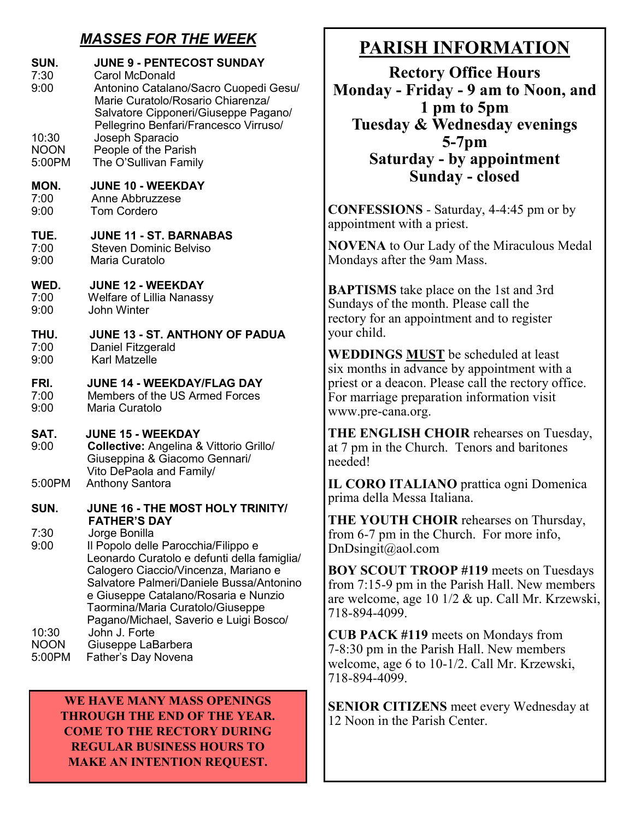### *MASSES FOR THE WEEK*

| SUN.<br>7:30<br>9:00<br>10:30<br><b>NOON</b><br>5:00PM | <b>JUNE 9 - PENTECOST SUNDAY</b><br><b>Carol McDonald</b><br>Antonino Catalano/Sacro Cuopedi Gesu/<br>Marie Curatolo/Rosario Chiarenza/<br>Salvatore Cipponeri/Giuseppe Pagano/<br>Pellegrino Benfari/Francesco Virruso/<br>Joseph Sparacio<br>People of the Parish<br>The O'Sullivan Family | M                                                        |
|--------------------------------------------------------|----------------------------------------------------------------------------------------------------------------------------------------------------------------------------------------------------------------------------------------------------------------------------------------------|----------------------------------------------------------|
| MON.<br>7:00<br>9:00                                   | <b>JUNE 10 - WEEKDAY</b><br>Anne Abbruzzese<br><b>Tom Cordero</b>                                                                                                                                                                                                                            | $\bf CO$                                                 |
| TUE.<br>7:00<br>9:00                                   | <b>JUNE 11 - ST. BARNABAS</b><br><b>Steven Dominic Belviso</b><br>Maria Curatolo                                                                                                                                                                                                             | app<br>N <sub>O</sub><br>Mo                              |
| WED.<br>7:00<br>9:00                                   | <b>JUNE 12 - WEEKDAY</b><br><b>Welfare of Lillia Nanassy</b><br><b>John Winter</b>                                                                                                                                                                                                           | <b>BA</b><br>Sur<br>rec                                  |
| THU.<br>7:00<br>9:00                                   | <b>JUNE 13 - ST. ANTHONY OF PADUA</b><br>Daniel Fitzgerald<br><b>Karl Matzelle</b>                                                                                                                                                                                                           | you<br>WI<br>six                                         |
| FRI.<br>7:00<br>9:00                                   | <b>JUNE 14 - WEEKDAY/FLAG DAY</b><br>Members of the US Armed Forces<br>Maria Curatolo                                                                                                                                                                                                        | prie<br>For<br><b>WW</b>                                 |
| SAT.<br>9:00                                           | <b>JUNE 15 - WEEKDAY</b><br>Collective: Angelina & Vittorio Grillo/<br>Giuseppina & Giacomo Gennari/<br>Vito DePaola and Family/                                                                                                                                                             | TH<br>at $7$<br>nee                                      |
| 5:00PM                                                 | <b>Anthony Santora</b>                                                                                                                                                                                                                                                                       | $\mathbf{L}$                                             |
| SUN.                                                   | JUNE 16 - THE MOST HOLY TRINITY/<br><b>FATHER'S DAY</b>                                                                                                                                                                                                                                      | prin<br>TH                                               |
| 7:30<br>9:00                                           | Jorge Bonilla<br>Il Popolo delle Parocchia/Filippo e<br>Leonardo Curatolo e defunti della famiglia/<br>Calogero Ciaccio/Vincenza, Mariano e<br>Salvatore Palmeri/Daniele Bussa/Antonino<br>e Giuseppe Catalano/Rosaria e Nunzio<br>Taormina/Maria Curatolo/Giuseppe                          | fro<br>Dn<br><b>BO</b><br>fro <sub>1</sub><br>are<br>718 |
| 10:30<br><b>NOON</b><br>5:00PM                         | Pagano/Michael, Saverio e Luigi Bosco/<br>John J. Forte<br>Giuseppe LaBarbera<br>Father's Day Novena                                                                                                                                                                                         | <b>CU</b><br>7-8<br>امتى                                 |

#### **WE HAVE MANY MASS OPENINGS THROUGH THE END OF THE YEAR. COME TO THE RECTORY DURING REGULAR BUSINESS HOURS TO MAKE AN INTENTION REQUEST.**

## **PARISH INFORMATION**

**Rectory Office Hours Monday - Friday - 9 am to Noon, and 1 pm to 5pm Tuesday & Wednesday evenings 5-7pm Saturday - by appointment Sunday - closed**

**DNFESSIONS** - Saturday, 4-4:45 pm or by solutment with a priest.

**NOVENA** to Our Lady of the Miraculous Medal ndays after the 9am Mass.

**PTISMS** take place on the 1st and 3rd ndays of the month. Please call the tory for an appointment and to register ır child.

**WEDDINGS MUST** be scheduled at least months in advance by appointment with a est or a deacon. Please call the rectory office. marriage preparation information visit w.pre-cana.org.

**THE ENGLISH CHOIR** rehearses on Tuesday, pm in the Church. Tenors and baritones ded!

**CORO ITALIANO** prattica ogni Domenica na della Messa Italiana.

**TE YOUTH CHOIR** rehearses on Thursday, m 6-7 pm in the Church. For more info, Dsingit@aol.com

**BOY SCOUT TROOP #119** meets on Tuesdays m 7:15-9 pm in the Parish Hall. New members welcome, age 10 1/2 & up. Call Mr. Krzewski, 8-894-4099.

**B PACK #119** meets on Mondays from :30 pm in the Parish Hall. New members welcome, age 6 to 10-1/2. Call Mr. Krzewski, 718-894-4099.

**SENIOR CITIZENS** meet every Wednesday at 12 Noon in the Parish Center.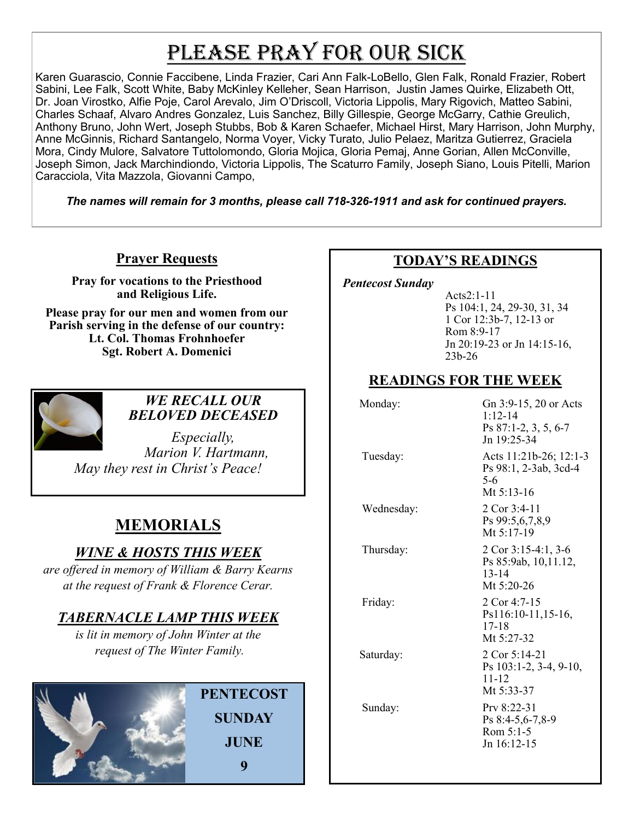# PLEASE PRAY FOR OUR SICK

Karen Guarascio, Connie Faccibene, Linda Frazier, Cari Ann Falk-LoBello, Glen Falk, Ronald Frazier, Robert Sabini, Lee Falk, Scott White, Baby McKinley Kelleher, Sean Harrison, Justin James Quirke, Elizabeth Ott, Dr. Joan Virostko, Alfie Poje, Carol Arevalo, Jim O'Driscoll, Victoria Lippolis, Mary Rigovich, Matteo Sabini, Charles Schaaf, Alvaro Andres Gonzalez, Luis Sanchez, Billy Gillespie, George McGarry, Cathie Greulich, Anthony Bruno, John Wert, Joseph Stubbs, Bob & Karen Schaefer, Michael Hirst, Mary Harrison, John Murphy, Anne McGinnis, Richard Santangelo, Norma Voyer, Vicky Turato, Julio Pelaez, Maritza Gutierrez, Graciela Mora, Cindy Mulore, Salvatore Tuttolomondo, Gloria Mojica, Gloria Pemaj, Anne Gorian, Allen McConville, Joseph Simon, Jack Marchindiondo, Victoria Lippolis, The Scaturro Family, Joseph Siano, Louis Pitelli, Marion Caracciola, Vita Mazzola, Giovanni Campo,

*The names will remain for 3 months, please call 718-326-1911 and ask for continued prayers.*

#### **Prayer Requests**

**Pray for vocations to the Priesthood and Religious Life.** 

**Please pray for our men and women from our Parish serving in the defense of our country: Lt. Col. Thomas Frohnhoefer Sgt. Robert A. Domenici** 



#### *WE RECALL OUR BELOVED DECEASED*

*Especially, Marion V. Hartmann, May they rest in Christ's Peace!*

## **MEMORIALS**

#### *WINE & HOSTS THIS WEEK*

*are offered in memory of William & Barry Kearns at the request of Frank & Florence Cerar.*

## *TABERNACLE LAMP THIS WEEK*

*is lit in memory of John Winter at the request of The Winter Family.*



### **TODAY'S READINGS**

 *Pentecost Sunday* 

Acts2:1-11 Ps 104:1, 24, 29-30, 31, 34 1 Cor 12:3b-7, 12-13 or Rom 8:9-17 Jn 20:19-23 or Jn 14:15-16, 23b-26

#### **READINGS FOR THE WEEK**

| Monday:    | Gn 3:9-15, 20 or Acts<br>$1:12-14$<br>Ps 87:1-2, 3, 5, 6-7<br>Jn 19:25-34   |
|------------|-----------------------------------------------------------------------------|
| Tuesday:   | Acts 11:21b-26; 12:1-3<br>Ps 98:1, 2-3ab, 3cd-4<br>$5-6$<br>Mt $5:13-16$    |
| Wednesday: | 2 Cor 3:4-11<br>Ps 99:5,6,7,8,9<br>Mt $5:17-19$                             |
| Thursday:  | 2 Cor $3:15-4:1, 3-6$<br>Ps 85:9ab, 10, 11.12,<br>$13 - 14$<br>Mt 5:20-26   |
| Friday:    | 2 Cor 4:7-15<br>Ps116:10-11,15-16,<br>17-18<br>Mt 5:27-32                   |
| Saturday:  | 2 Cor 5:14-21<br>Ps $103:1-2$ , $3-4$ , $9-10$ ,<br>$11 - 12$<br>Mt 5:33-37 |
| Sunday:    | $Prv 8:22-31$<br>Ps 8:4-5,6-7,8-9<br>Rom $5:1-5$<br>$Jn$ 16:12-15           |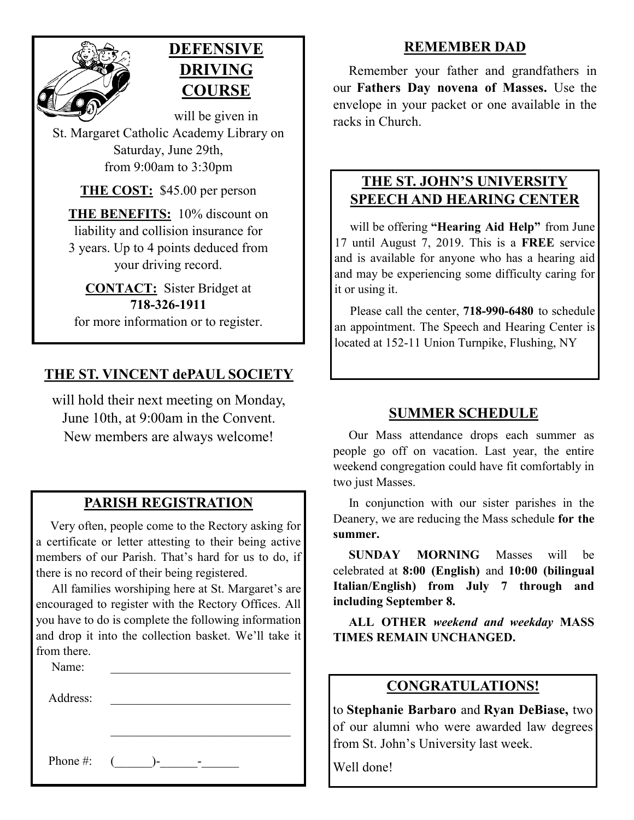



will be given in St. Margaret Catholic Academy Library on Saturday, June 29th, from 9:00am to 3:30pm

#### **THE COST:** \$45.00 per person

**THE BENEFITS:** 10% discount on liability and collision insurance for 3 years. Up to 4 points deduced from your driving record.

**CONTACT:** Sister Bridget at **718-326-1911** for more information or to register.

### **THE ST. VINCENT dePAUL SOCIETY**

will hold their next meeting on Monday, June 10th, at 9:00am in the Convent. New members are always welcome!

### **PARISH REGISTRATION**

 Very often, people come to the Rectory asking for a certificate or letter attesting to their being active members of our Parish. That's hard for us to do, if there is no record of their being registered.

 All families worshiping here at St. Margaret's are encouraged to register with the Rectory Offices. All you have to do is complete the following information and drop it into the collection basket. We'll take it from there.

Name:

Address:

Phone #:  $($   $)$ -  $-$ 

#### **REMEMBER DAD**

 Remember your father and grandfathers in our **Fathers Day novena of Masses.** Use the envelope in your packet or one available in the racks in Church.

#### **THE ST. JOHN'S UNIVERSITY SPEECH AND HEARING CENTER**

 will be offering **"Hearing Aid Help"** from June 17 until August 7, 2019. This is a **FREE** service and is available for anyone who has a hearing aid and may be experiencing some difficulty caring for it or using it.

 Please call the center, **718-990-6480** to schedule an appointment. The Speech and Hearing Center is located at 152-11 Union Turnpike, Flushing, NY

#### **SUMMER SCHEDULE**

 Our Mass attendance drops each summer as people go off on vacation. Last year, the entire weekend congregation could have fit comfortably in two just Masses.

 In conjunction with our sister parishes in the Deanery, we are reducing the Mass schedule **for the summer.** 

 **SUNDAY MORNING** Masses will be celebrated at **8:00 (English)** and **10:00 (bilingual Italian/English) from July 7 through and including September 8.**

 **ALL OTHER** *weekend and weekday* **MASS TIMES REMAIN UNCHANGED.**

#### **CONGRATULATIONS!**

to **Stephanie Barbaro** and **Ryan DeBiase,** two of our alumni who were awarded law degrees from St. John's University last week.

Well done!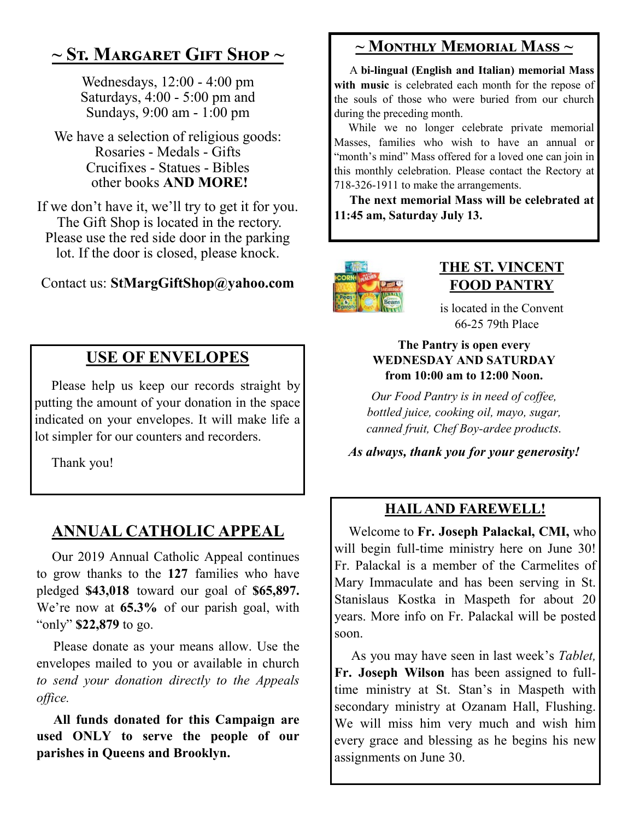# **~ St. Margaret Gift Shop ~**

Wednesdays, 12:00 - 4:00 pm Saturdays, 4:00 - 5:00 pm and Sundays, 9:00 am - 1:00 pm

We have a selection of religious goods: Rosaries - Medals - Gifts Crucifixes - Statues - Bibles other books **AND MORE!**

If we don't have it, we'll try to get it for you. The Gift Shop is located in the rectory. Please use the red side door in the parking lot. If the door is closed, please knock.

### Contact us: **StMargGiftShop@yahoo.com**

## **USE OF ENVELOPES**

 Please help us keep our records straight by putting the amount of your donation in the space indicated on your envelopes. It will make life a lot simpler for our counters and recorders.

Thank you!

## **ANNUAL CATHOLIC APPEAL**

 Our 2019 Annual Catholic Appeal continues to grow thanks to the **127** families who have pledged **\$43,018** toward our goal of **\$65,897.**  We're now at **65.3%** of our parish goal, with "only" **\$22,879** to go.

 Please donate as your means allow. Use the envelopes mailed to you or available in church *to send your donation directly to the Appeals office.*

**All funds donated for this Campaign are used ONLY to serve the people of our parishes in Queens and Brooklyn.** 

## **~ Monthly Memorial Mass ~**

 A **bi-lingual (English and Italian) memorial Mass with music** is celebrated each month for the repose of the souls of those who were buried from our church during the preceding month.

 While we no longer celebrate private memorial Masses, families who wish to have an annual or "month's mind" Mass offered for a loved one can join in this monthly celebration. Please contact the Rectory at 718-326-1911 to make the arrangements.

 **The next memorial Mass will be celebrated at 11:45 am, Saturday July 13.** 



### **THE ST. VINCENT FOOD PANTRY**

is located in the Convent 66-25 79th Place

#### **The Pantry is open every WEDNESDAY AND SATURDAY from 10:00 am to 12:00 Noon.**

*Our Food Pantry is in need of coffee, bottled juice, cooking oil, mayo, sugar, canned fruit, Chef Boy-ardee products.* 

*As always, thank you for your generosity!*

### **HAIL AND FAREWELL!**

 Welcome to **Fr. Joseph Palackal, CMI,** who will begin full-time ministry here on June 30! Fr. Palackal is a member of the Carmelites of Mary Immaculate and has been serving in St. Stanislaus Kostka in Maspeth for about 20 years. More info on Fr. Palackal will be posted soon.

 As you may have seen in last week's *Tablet,*  **Fr. Joseph Wilson** has been assigned to fulltime ministry at St. Stan's in Maspeth with secondary ministry at Ozanam Hall, Flushing. We will miss him very much and wish him every grace and blessing as he begins his new assignments on June 30.